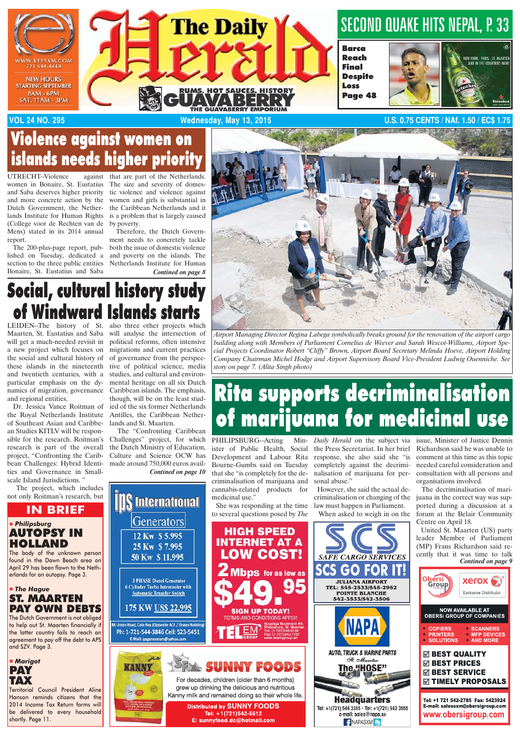

## Violence against women on islands needs higher priority

UTRECHT-Violence women in Bonaire, St. Eustatius and Saba deserves higher priority and more concrete action by the Dutch Government, the Netherlands Institute for Human Rights (College voor de Rechten van de Mens) stated in its 2014 annual report.

 The 200-plus-page report, published on Tuesday, dedicated a section to the three public entities Bonaire, St. Eustatius and Saba

against that are part of the Netherlands. The size and severity of domestic violence and violence against women and girls is substantial in the Caribbean Netherlands and it is a problem that is largely caused by poverty.

 Therefore, the Dutch Government needs to concretely tackle both the issue of domestic violence and poverty on the islands. The Netherlands Institute for Human *Contined on page 8*



# Social, cultural history study of Windward Islands starts

Maarten, St. Eustatius and Saba will get a much-needed revisit in a new project which focuses on the social and cultural history of these islands in the nineteenth and twentieth centuries, with a particular emphasis on the dynamics of migration, governance Caribbean islands. The emphasis, and regional entities.

 Dr. Jessica Vance Roitman of the Royal Netherlands Institute of Southeast Asian and Caribbean Studies KITLV will be responsible for the research. Roitman's research is part of the overall project, "Confronting the Caribbean Challenges: Hybrid Identities and Governance in Smallscale Island Jurisdictions.'

 The project, which includes not only Roitman's research, but

LEIDEN--The history of St. also three other projects which will analyse the intersection of political reforms, often intensive migrations and current practices of governance from the perspective of political science, media studies, and cultural and environmental heritage on all six Dutch though, will be on the least studied of the six former Netherlands Antilles, the Caribbean Netherlands and St. Maarten.

 The "Confronting Caribbean Challenges" project, for which the Dutch Ministry of Education, Culture and Science OCW has made around 750,000 euros avail-

**DS** International

Generators

*Contined on page 10*



# **Rita supports decriminalisation** of marijuana for medicinal use

ister of Public Health, Social the Press Secretariat. In her brief Development and Labour Rita Bourne-Gumbs said on Tuesday that she "is completely for the decriminalisation of marijuana and cannabis-related products for *Daily Herald* on the subject via response, she also said she "is completely against the decriminalisation of marijuana for personal abuse.'

 However, she said the actual decriminalisation or changing of the law must happen in Parliament. When asked to weigh in on the

**GO FOR** 

**JULIANA AIRPORT** 

St. Mai

The "HOSE"

**Headquarters** 

Tel: +1(721) 544 3355 · Tel: +1(721) 542 3555

e-mail: sales@napa.sx

**F** NAPASXM<sup>B</sup>

issue, Minister of Justice Dennis Richardson said he was unable to comment at this time as this topic needed careful consideration and consultation with all persons and organisations involved.

 The decriminalisation of marijuana in the correct way was supported during a discussion at a forum at the Belair Community Centre on April 18.

 United St. Maarten (US) party leader Member of Parliament (MP) Frans Richardson said recently that it was time to talk





### *-*  **PAY OWN DEBTS**

The Dutch Government is not obliged to help out St. Maarten financially if the latter country fails to reach an agreement to pay off the debt to APS and SZV. Page 3.



Territorial Council President Aline Hanson reminds citizens that the 2014 Income Tax Return forms will be delivered to every household shortly. Page 11.

12 Kw \$5.995 25 Kw \$7.995 50 Kw \$11.995 3 PHASE Diesel Generator<br>Sylinder Turbo Intercooler with **Automatic Transfer Switch** 175 KW US\$ 22.995 osite ACE / Ocean Build 88 Union Road, Cole Bay (Opp Ph: 1-721-544-3846 Cell: 523-5451 E-Mail: ipsgenerators@yahoo.com



E: sunnyfood.dc@hotmail.com



PHILIPSBURG--Acting